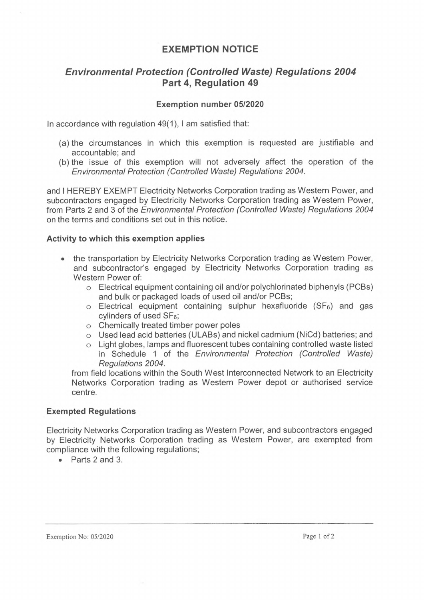# **EXEMPTION NOTICE**

## *Environmental Protection (Controlled Waste) Regulations 2004* **Part 4, Regulation 49**

### **Exemption number 05/2020**

In accordance with regulation 49(1), <sup>I</sup> am satisfied that:

- (a) the circumstances in which this exemption is requested are justifiable and accountable; and
- (b) the issue of this exemption will not adversely affect the operation of the *Environmental Protection (Controlled Waste) Regulations 2004.*

and <sup>I</sup> HEREBY EXEMPT Electricity Networks Corporation trading as Western Power, and subcontractors engaged by Electricity Networks Corporation trading as Western Power, from Parts 2 and 3 of the *Environmental Protection (Controlled Waste) Regulations 2004* on the terms and conditions set out in this notice.

#### **Activity to which this exemption applies**

- the transportation by Electricity Networks Corporation trading as Western Power, and subcontractor's engaged by Electricity Networks Corporation trading as Western Power of:
	- **o** Electrical equipment containing oil and/or polychlorinated biphenyls (PCBs) and bulk or packaged loads of used oil and/or PCBs;
	- $\circ$  Electrical equipment containing sulphur hexafluoride ( $SF<sub>6</sub>$ ) and gas cylinders of used SF<sub>6</sub>;
	- **o** Chemically treated timber power poles
	- **o** Used lead acid batteries (ULABs) and nickel cadmium (NiCd) batteries; and
	- **o** Light globes, lamps and fluorescent tubes containing controlled waste listed in Schedule <sup>1</sup> of the *Environmental Protection (Controlled Waste) Regulations 2004.*

from field locations within the South West Interconnected Network to an Electricity Networks Corporation trading as Western Power depot or authorised service centre.

#### **Exempted Regulations**

Electricity Networks Corporation trading as Western Power, and subcontractors engaged by Electricity Networks Corporation trading as Western Power, are exempted from compliance with the following regulations;

• Parts 2 and 3.

Exemption No: 05/2020 Page 1 of 2